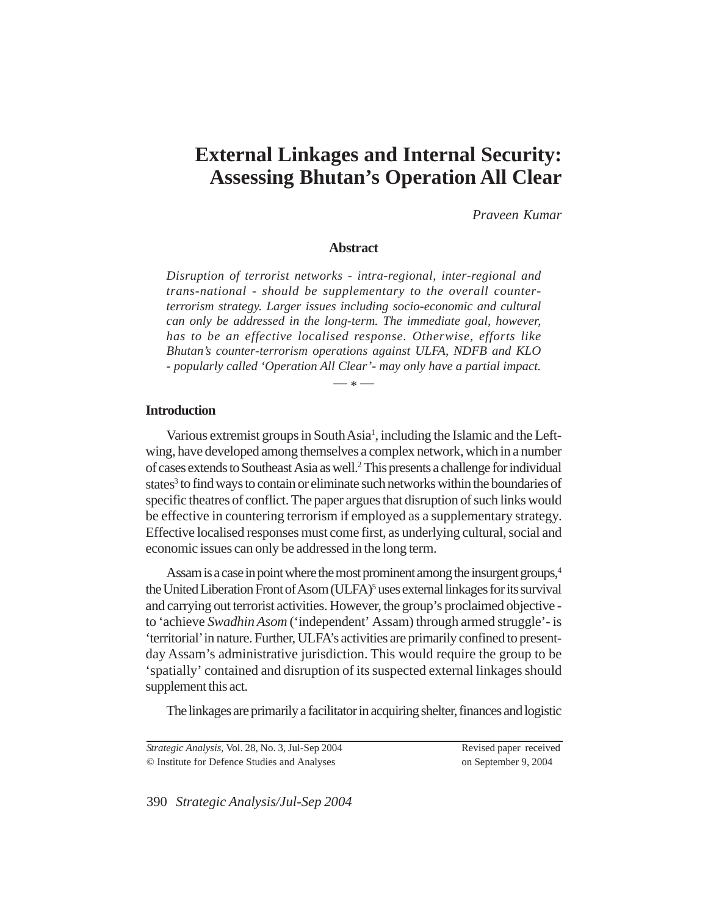# **External Linkages and Internal Security: Assessing Bhutan's Operation All Clear**

*Praveen Kumar*

# **Abstract**

*Disruption of terrorist networks - intra-regional, inter-regional and trans-national - should be supplementary to the overall counterterrorism strategy. Larger issues including socio-economic and cultural can only be addressed in the long-term. The immediate goal, however, has to be an effective localised response. Otherwise, efforts like Bhutan's counter-terrorism operations against ULFA, NDFB and KLO - popularly called 'Operation All Clear'- may only have a partial impact.*

 $- * -$ 

## **Introduction**

Various extremist groups in South Asia<sup>1</sup>, including the Islamic and the Leftwing, have developed among themselves a complex network, which in a number of cases extends to Southeast Asia as well.<sup>2</sup> This presents a challenge for individual states<sup>3</sup> to find ways to contain or eliminate such networks within the boundaries of specific theatres of conflict. The paper argues that disruption of such links would be effective in countering terrorism if employed as a supplementary strategy. Effective localised responses must come first, as underlying cultural, social and economic issues can only be addressed in the long term.

Assam is a case in point where the most prominent among the insurgent groups,<sup>4</sup> the United Liberation Front of Asom (ULFA)<sup>5</sup> uses external linkages for its survival and carrying out terrorist activities. However, the group's proclaimed objective to 'achieve *Swadhin Asom* ('independent' Assam) through armed struggle'- is 'territorial' in nature. Further, ULFA's activities are primarily confined to presentday Assam's administrative jurisdiction. This would require the group to be 'spatially' contained and disruption of its suspected external linkages should supplement this act.

The linkages are primarily a facilitator in acquiring shelter, finances and logistic

*Strategic Analysis,* Vol. 28, No. 3, Jul-Sep 2004 © Institute for Defence Studies and Analyses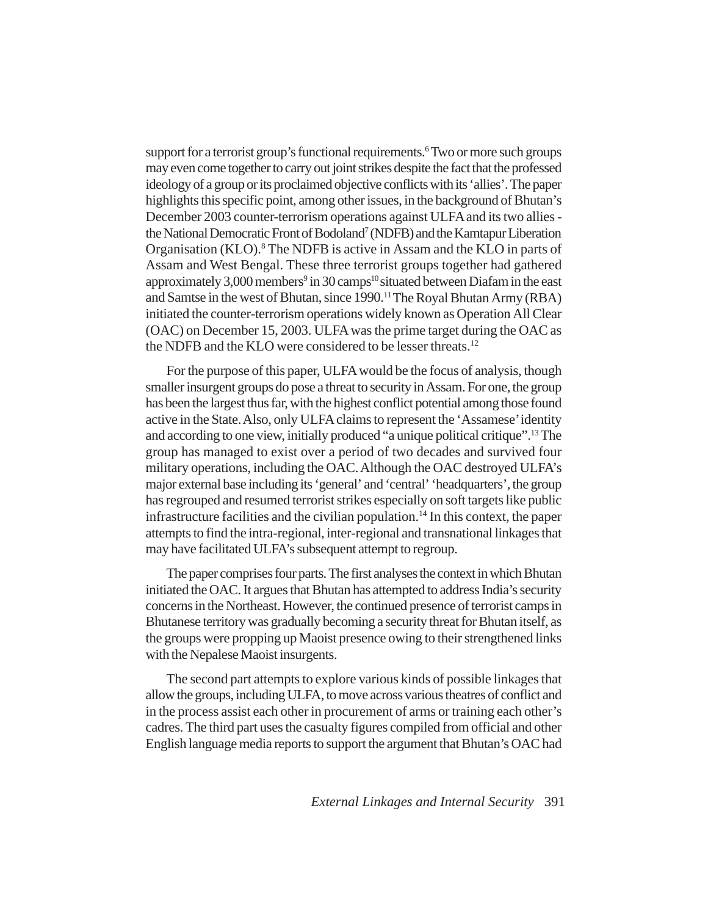support for a terrorist group's functional requirements.<sup>6</sup> Two or more such groups may even come together to carry out joint strikes despite the fact that the professed ideology of a group or its proclaimed objective conflicts with its 'allies'. The paper highlights this specific point, among other issues, in the background of Bhutan's December 2003 counter-terrorism operations against ULFA and its two allies the National Democratic Front of Bodoland<sup>7</sup> (NDFB) and the Kamtapur Liberation Organisation (KLO).<sup>8</sup> The NDFB is active in Assam and the KLO in parts of Assam and West Bengal. These three terrorist groups together had gathered approximately 3,000 members<sup>9</sup> in 30 camps<sup>10</sup> situated between Diafam in the east and Samtse in the west of Bhutan, since 1990.<sup>11</sup> The Royal Bhutan Army (RBA) initiated the counter-terrorism operations widely known as Operation All Clear (OAC) on December 15, 2003. ULFA was the prime target during the OAC as the NDFB and the KLO were considered to be lesser threats.<sup>12</sup>

For the purpose of this paper, ULFA would be the focus of analysis, though smaller insurgent groups do pose a threat to security in Assam. For one, the group has been the largest thus far, with the highest conflict potential among those found active in the State. Also, only ULFA claims to represent the 'Assamese' identity and according to one view, initially produced "a unique political critique".<sup>13</sup> The group has managed to exist over a period of two decades and survived four military operations, including the OAC. Although the OAC destroyed ULFA's major external base including its 'general' and 'central' 'headquarters', the group has regrouped and resumed terrorist strikes especially on soft targets like public infrastructure facilities and the civilian population.<sup>14</sup> In this context, the paper attempts to find the intra-regional, inter-regional and transnational linkages that may have facilitated ULFA's subsequent attempt to regroup.

The paper comprises four parts. The first analyses the context in which Bhutan initiated the OAC. It argues that Bhutan has attempted to address India's security concerns in the Northeast. However, the continued presence of terrorist camps in Bhutanese territory was gradually becoming a security threat for Bhutan itself, as the groups were propping up Maoist presence owing to their strengthened links with the Nepalese Maoist insurgents.

The second part attempts to explore various kinds of possible linkages that allow the groups, including ULFA, to move across various theatres of conflict and in the process assist each other in procurement of arms or training each other's cadres. The third part uses the casualty figures compiled from official and other English language media reports to support the argument that Bhutan's OAC had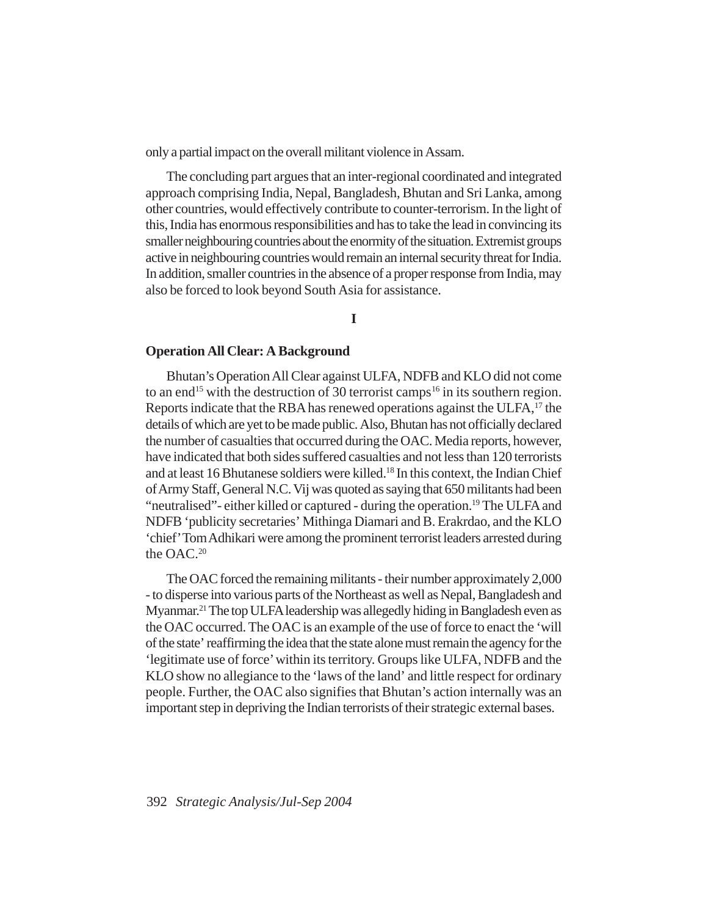only a partial impact on the overall militant violence in Assam.

The concluding part argues that an inter-regional coordinated and integrated approach comprising India, Nepal, Bangladesh, Bhutan and Sri Lanka, among other countries, would effectively contribute to counter-terrorism. In the light of this, India has enormous responsibilities and has to take the lead in convincing its smaller neighbouring countries about the enormity of the situation. Extremist groups active in neighbouring countries would remain an internal security threat for India. In addition, smaller countries in the absence of a proper response from India, may also be forced to look beyond South Asia for assistance.

**I**

### **Operation All Clear: A Background**

Bhutan's Operation All Clear against ULFA, NDFB and KLO did not come to an end<sup>15</sup> with the destruction of 30 terrorist camps<sup>16</sup> in its southern region. Reports indicate that the RBA has renewed operations against the ULFA,<sup>17</sup> the details of which are yet to be made public. Also, Bhutan has not officially declared the number of casualties that occurred during the OAC. Media reports, however, have indicated that both sides suffered casualties and not less than 120 terrorists and at least 16 Bhutanese soldiers were killed.18 In this context, the Indian Chief of Army Staff, General N.C. Vij was quoted as saying that 650 militants had been "neutralised"- either killed or captured - during the operation.19 The ULFA and NDFB 'publicity secretaries' Mithinga Diamari and B. Erakrdao, and the KLO 'chief' Tom Adhikari were among the prominent terrorist leaders arrested during the OAC.<sup>20</sup>

The OAC forced the remaining militants - their number approximately 2,000 - to disperse into various parts of the Northeast as well as Nepal, Bangladesh and Myanmar.21 The top ULFA leadership was allegedly hiding in Bangladesh even as the OAC occurred. The OAC is an example of the use of force to enact the 'will of the state' reaffirming the idea that the state alone must remain the agency for the 'legitimate use of force' within its territory. Groups like ULFA, NDFB and the KLO show no allegiance to the 'laws of the land' and little respect for ordinary people. Further, the OAC also signifies that Bhutan's action internally was an important step in depriving the Indian terrorists of their strategic external bases.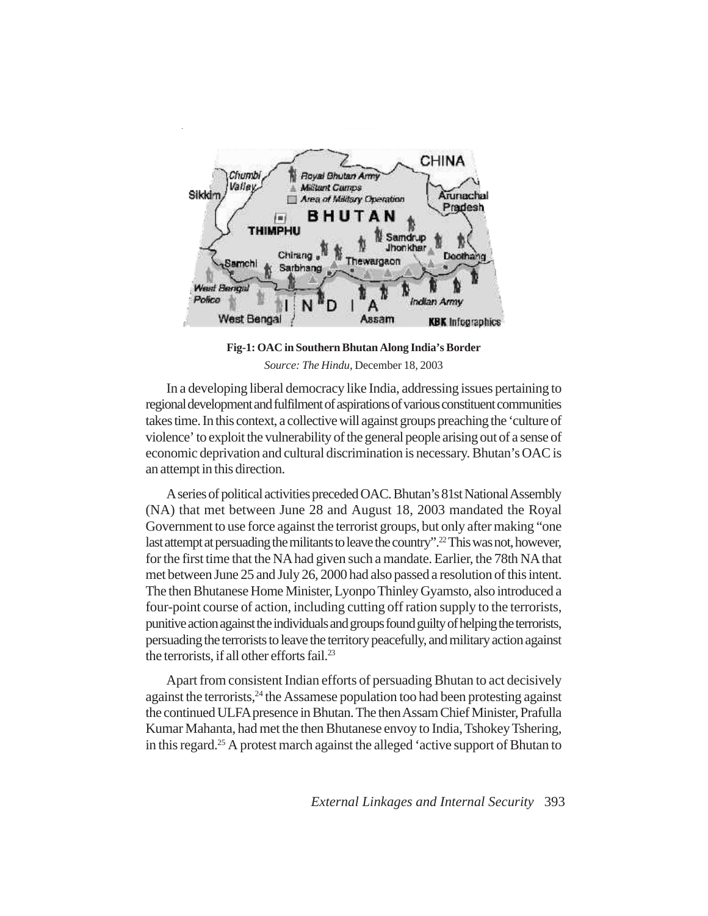

**Fig-1: OAC in Southern Bhutan Along India's Border** *Source: The Hindu*, December 18, 2003

In a developing liberal democracy like India, addressing issues pertaining to regional development and fulfilment of aspirations of various constituent communities takes time. In this context, a collective will against groups preaching the 'culture of violence' to exploit the vulnerability of the general people arising out of a sense of economic deprivation and cultural discrimination is necessary. Bhutan's OAC is an attempt in this direction.

A series of political activities preceded OAC. Bhutan's 81st National Assembly (NA) that met between June 28 and August 18, 2003 mandated the Royal Government to use force against the terrorist groups, but only after making "one last attempt at persuading the militants to leave the country".<sup>22</sup> This was not, however, for the first time that the NA had given such a mandate. Earlier, the 78th NA that met between June 25 and July 26, 2000 had also passed a resolution of this intent. The then Bhutanese Home Minister, Lyonpo Thinley Gyamsto, also introduced a four-point course of action, including cutting off ration supply to the terrorists, punitive action against the individuals and groups found guilty of helping the terrorists, persuading the terrorists to leave the territory peacefully, and military action against the terrorists, if all other efforts fail. $^{23}$ 

Apart from consistent Indian efforts of persuading Bhutan to act decisively against the terrorists,<sup>24</sup> the Assamese population too had been protesting against the continued ULFA presence in Bhutan. The then Assam Chief Minister, Prafulla Kumar Mahanta, had met the then Bhutanese envoy to India, Tshokey Tshering, in this regard.25 A protest march against the alleged 'active support of Bhutan to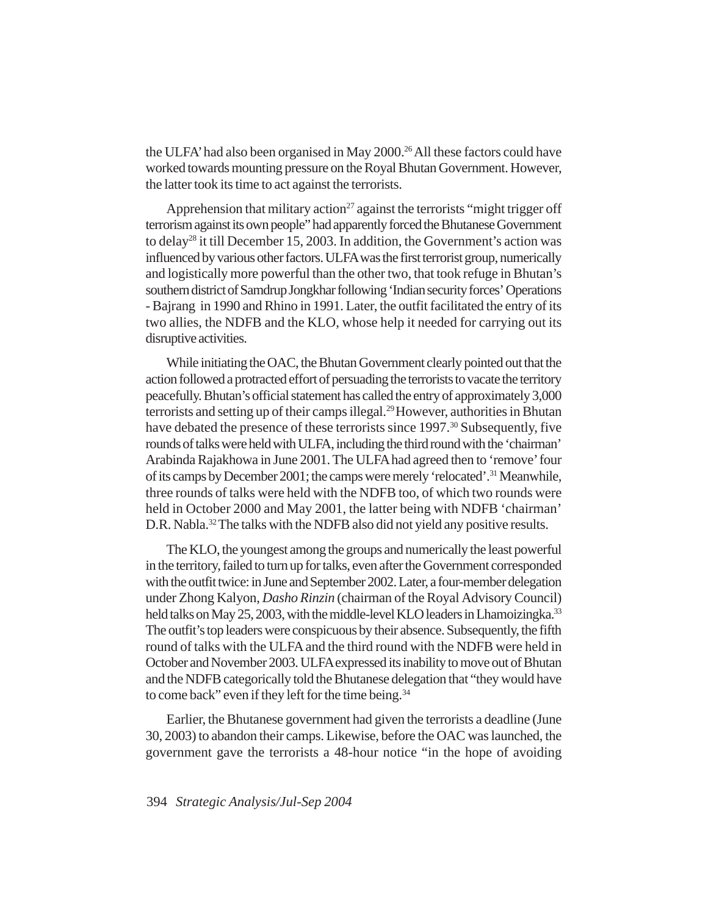the ULFA' had also been organised in May 2000.<sup>26</sup> All these factors could have worked towards mounting pressure on the Royal Bhutan Government. However, the latter took its time to act against the terrorists.

Apprehension that military action<sup>27</sup> against the terrorists "might trigger off terrorism against its own people" had apparently forced the Bhutanese Government to delay<sup>28</sup> it till December 15, 2003. In addition, the Government's action was influenced by various other factors. ULFA was the first terrorist group, numerically and logistically more powerful than the other two, that took refuge in Bhutan's southern district of Samdrup Jongkhar following 'Indian security forces' Operations - Bajrang in 1990 and Rhino in 1991. Later, the outfit facilitated the entry of its two allies, the NDFB and the KLO, whose help it needed for carrying out its disruptive activities.

While initiating the OAC, the Bhutan Government clearly pointed out that the action followed a protracted effort of persuading the terrorists to vacate the territory peacefully. Bhutan's official statement has called the entry of approximately 3,000 terrorists and setting up of their camps illegal.<sup>29</sup> However, authorities in Bhutan have debated the presence of these terrorists since 1997.<sup>30</sup> Subsequently, five rounds of talks were held with ULFA, including the third round with the 'chairman' Arabinda Rajakhowa in June 2001. The ULFA had agreed then to 'remove' four of its camps by December 2001; the camps were merely 'relocated'.31 Meanwhile, three rounds of talks were held with the NDFB too, of which two rounds were held in October 2000 and May 2001, the latter being with NDFB 'chairman' D.R. Nabla.<sup>32</sup> The talks with the NDFB also did not yield any positive results.

The KLO, the youngest among the groups and numerically the least powerful in the territory, failed to turn up for talks, even after the Government corresponded with the outfit twice: in June and September 2002. Later, a four-member delegation under Zhong Kalyon, *Dasho Rinzin* (chairman of the Royal Advisory Council) held talks on May 25, 2003, with the middle-level KLO leaders in Lhamoizingka.<sup>33</sup> The outfit's top leaders were conspicuous by their absence. Subsequently, the fifth round of talks with the ULFA and the third round with the NDFB were held in October and November 2003. ULFA expressed its inability to move out of Bhutan and the NDFB categorically told the Bhutanese delegation that "they would have to come back" even if they left for the time being.<sup>34</sup>

Earlier, the Bhutanese government had given the terrorists a deadline (June 30, 2003) to abandon their camps. Likewise, before the OAC was launched, the government gave the terrorists a 48-hour notice "in the hope of avoiding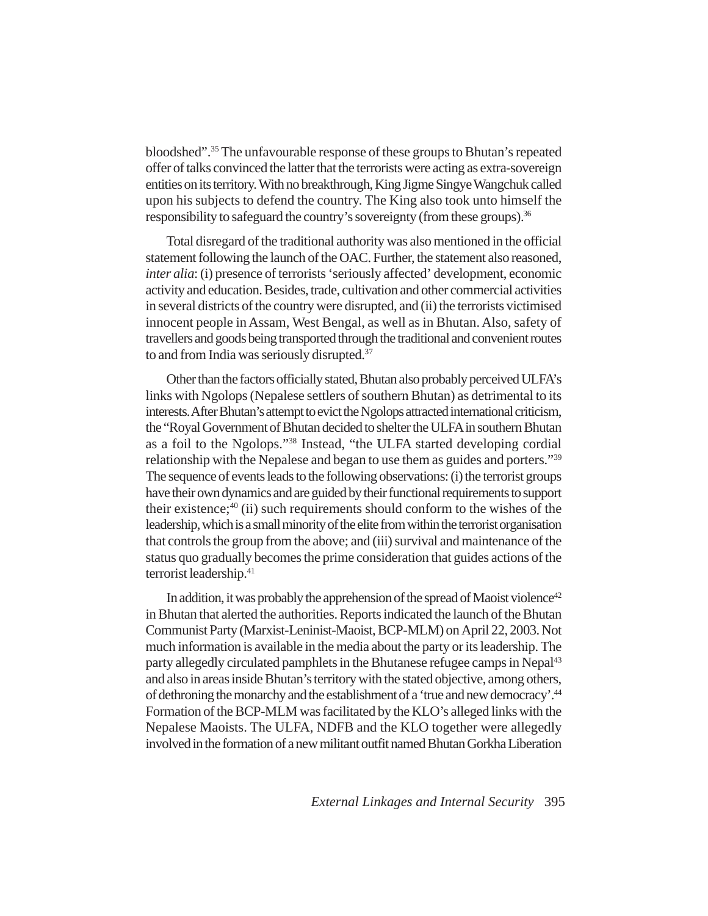bloodshed".35 The unfavourable response of these groups to Bhutan's repeated offer of talks convinced the latter that the terrorists were acting as extra-sovereign entities on its territory. With no breakthrough, King Jigme Singye Wangchuk called upon his subjects to defend the country. The King also took unto himself the responsibility to safeguard the country's sovereignty (from these groups).<sup>36</sup>

Total disregard of the traditional authority was also mentioned in the official statement following the launch of the OAC. Further, the statement also reasoned, *inter alia*: (i) presence of terrorists 'seriously affected' development, economic activity and education. Besides, trade, cultivation and other commercial activities in several districts of the country were disrupted, and (ii) the terrorists victimised innocent people in Assam, West Bengal, as well as in Bhutan. Also, safety of travellers and goods being transported through the traditional and convenient routes to and from India was seriously disrupted.<sup>37</sup>

Other than the factors officially stated, Bhutan also probably perceived ULFA's links with Ngolops (Nepalese settlers of southern Bhutan) as detrimental to its interests. After Bhutan's attempt to evict the Ngolops attracted international criticism, the "Royal Government of Bhutan decided to shelter the ULFA in southern Bhutan as a foil to the Ngolops."38 Instead, "the ULFA started developing cordial relationship with the Nepalese and began to use them as guides and porters."39 The sequence of events leads to the following observations: (i) the terrorist groups have their own dynamics and are guided by their functional requirements to support their existence; $40$  (ii) such requirements should conform to the wishes of the leadership, which is a small minority of the elite from within the terrorist organisation that controls the group from the above; and (iii) survival and maintenance of the status quo gradually becomes the prime consideration that guides actions of the terrorist leadership.41

In addition, it was probably the apprehension of the spread of Maoist violence<sup>42</sup> in Bhutan that alerted the authorities. Reports indicated the launch of the Bhutan Communist Party (Marxist-Leninist-Maoist, BCP-MLM) on April 22, 2003. Not much information is available in the media about the party or its leadership. The party allegedly circulated pamphlets in the Bhutanese refugee camps in Nepal<sup>43</sup> and also in areas inside Bhutan's territory with the stated objective, among others, of dethroning the monarchy and the establishment of a 'true and new democracy'.44 Formation of the BCP-MLM was facilitated by the KLO's alleged links with the Nepalese Maoists. The ULFA, NDFB and the KLO together were allegedly involved in the formation of a new militant outfit named Bhutan Gorkha Liberation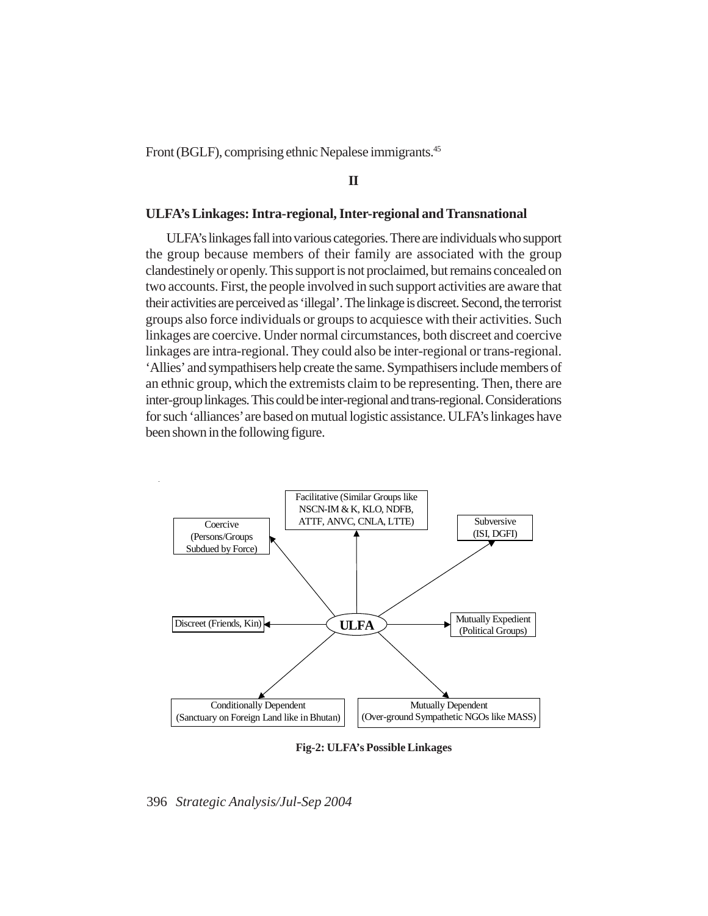Front (BGLF), comprising ethnic Nepalese immigrants.<sup>45</sup>

**II**

#### **ULFA's Linkages: Intra-regional, Inter-regional and Transnational**

ULFA's linkages fall into various categories. There are individuals who support the group because members of their family are associated with the group clandestinely or openly. This support is not proclaimed, but remains concealed on two accounts. First, the people involved in such support activities are aware that their activities are perceived as 'illegal'. The linkage is discreet. Second, the terrorist groups also force individuals or groups to acquiesce with their activities. Such linkages are coercive. Under normal circumstances, both discreet and coercive linkages are intra-regional. They could also be inter-regional or trans-regional. 'Allies' and sympathisers help create the same. Sympathisers include members of an ethnic group, which the extremists claim to be representing. Then, there are inter-group linkages. This could be inter-regional and trans-regional. Considerations for such 'alliances' are based on mutual logistic assistance. ULFA's linkages have been shown in the following figure.



**Fig-2: ULFA's Possible Linkages**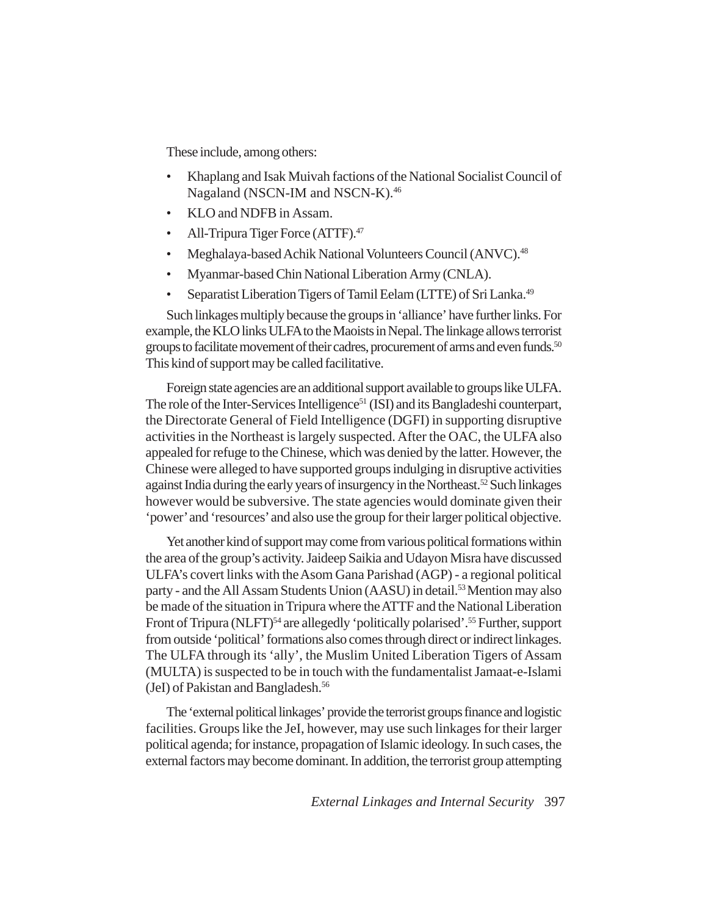These include, among others:

- Khaplang and Isak Muivah factions of the National Socialist Council of Nagaland (NSCN-IM and NSCN-K).<sup>46</sup>
- KLO and NDFB in Assam.
- All-Tripura Tiger Force (ATTF).<sup>47</sup>
- Meghalaya-based Achik National Volunteers Council (ANVC).<sup>48</sup>
- Myanmar-based Chin National Liberation Army (CNLA).
- Separatist Liberation Tigers of Tamil Eelam (LTTE) of Sri Lanka.49

Such linkages multiply because the groups in 'alliance' have further links. For example, the KLO links ULFA to the Maoists in Nepal. The linkage allows terrorist groups to facilitate movement of their cadres, procurement of arms and even funds.<sup>50</sup> This kind of support may be called facilitative.

Foreign state agencies are an additional support available to groups like ULFA. The role of the Inter-Services Intelligence<sup>51</sup> (ISI) and its Bangladeshi counterpart, the Directorate General of Field Intelligence (DGFI) in supporting disruptive activities in the Northeast is largely suspected. After the OAC, the ULFA also appealed for refuge to the Chinese, which was denied by the latter. However, the Chinese were alleged to have supported groups indulging in disruptive activities against India during the early years of insurgency in the Northeast.<sup>52</sup> Such linkages however would be subversive. The state agencies would dominate given their 'power' and 'resources' and also use the group for their larger political objective.

Yet another kind of support may come from various political formations within the area of the group's activity. Jaideep Saikia and Udayon Misra have discussed ULFA's covert links with the Asom Gana Parishad (AGP) - a regional political party - and the All Assam Students Union (AASU) in detail.<sup>53</sup> Mention may also be made of the situation in Tripura where the ATTF and the National Liberation Front of Tripura (NLFT)<sup>54</sup> are allegedly 'politically polarised'.<sup>55</sup> Further, support from outside 'political' formations also comes through direct or indirect linkages. The ULFA through its 'ally', the Muslim United Liberation Tigers of Assam (MULTA) is suspected to be in touch with the fundamentalist Jamaat-e-Islami (JeI) of Pakistan and Bangladesh.56

The 'external political linkages' provide the terrorist groups finance and logistic facilities. Groups like the JeI, however, may use such linkages for their larger political agenda; for instance, propagation of Islamic ideology. In such cases, the external factors may become dominant. In addition, the terrorist group attempting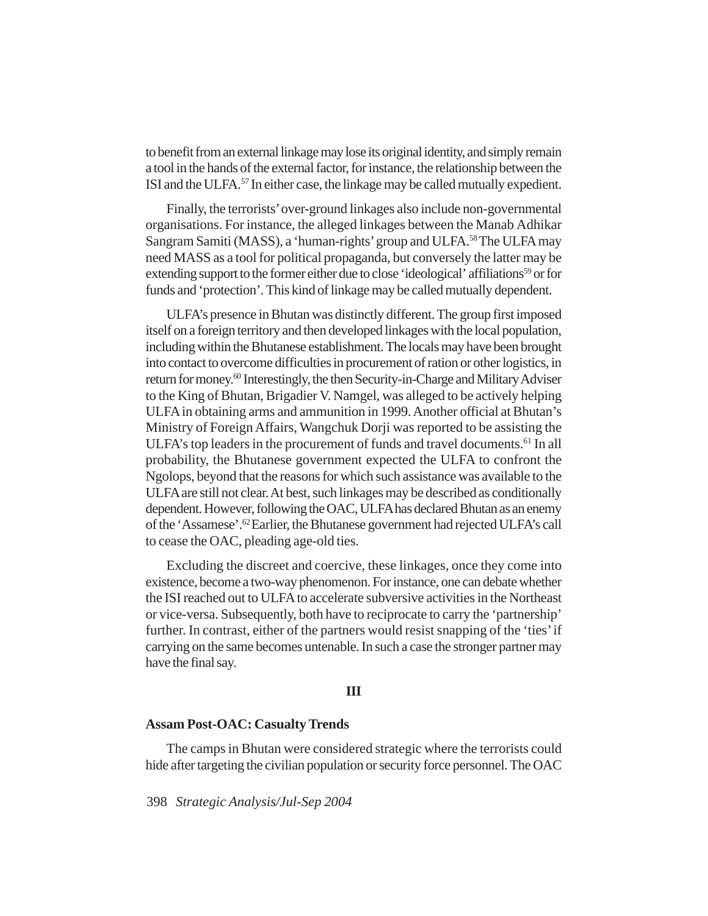to benefit from an external linkage may lose its original identity, and simply remain a tool in the hands of the external factor, for instance, the relationship between the ISI and the ULFA.57 In either case, the linkage may be called mutually expedient.

Finally, the terrorists' over-ground linkages also include non-governmental organisations. For instance, the alleged linkages between the Manab Adhikar Sangram Samiti (MASS), a 'human-rights' group and ULFA.58 The ULFA may need MASS as a tool for political propaganda, but conversely the latter may be extending support to the former either due to close 'ideological' affiliations<sup>59</sup> or for funds and 'protection'. This kind of linkage may be called mutually dependent.

ULFA's presence in Bhutan was distinctly different. The group first imposed itself on a foreign territory and then developed linkages with the local population, including within the Bhutanese establishment. The locals may have been brought into contact to overcome difficulties in procurement of ration or other logistics, in return for money.<sup>60</sup> Interestingly, the then Security-in-Charge and Military Adviser to the King of Bhutan, Brigadier V. Namgel, was alleged to be actively helping ULFA in obtaining arms and ammunition in 1999. Another official at Bhutan's Ministry of Foreign Affairs, Wangchuk Dorji was reported to be assisting the ULFA's top leaders in the procurement of funds and travel documents.<sup>61</sup> In all probability, the Bhutanese government expected the ULFA to confront the Ngolops, beyond that the reasons for which such assistance was available to the ULFA are still not clear. At best, such linkages may be described as conditionally dependent. However, following the OAC, ULFA has declared Bhutan as an enemy of the 'Assamese'.62 Earlier, the Bhutanese government had rejected ULFA's call to cease the OAC, pleading age-old ties.

Excluding the discreet and coercive, these linkages, once they come into existence, become a two-way phenomenon. For instance, one can debate whether the ISI reached out to ULFA to accelerate subversive activities in the Northeast or vice-versa. Subsequently, both have to reciprocate to carry the 'partnership' further. In contrast, either of the partners would resist snapping of the 'ties' if carrying on the same becomes untenable. In such a case the stronger partner may have the final say.

## **III**

# **Assam Post-OAC: Casualty Trends**

The camps in Bhutan were considered strategic where the terrorists could hide after targeting the civilian population or security force personnel. The OAC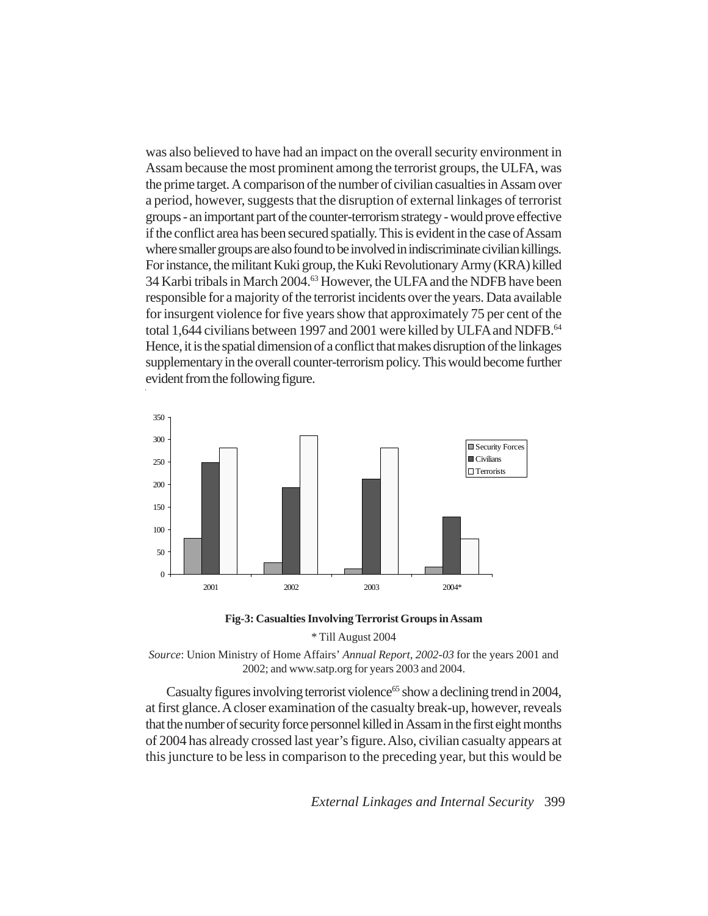was also believed to have had an impact on the overall security environment in Assam because the most prominent among the terrorist groups, the ULFA, was the prime target. A comparison of the number of civilian casualties in Assam over a period, however, suggests that the disruption of external linkages of terrorist groups - an important part of the counter-terrorism strategy - would prove effective if the conflict area has been secured spatially. This is evident in the case of Assam where smaller groups are also found to be involved in indiscriminate civilian killings. For instance, the militant Kuki group, the Kuki Revolutionary Army (KRA) killed 34 Karbi tribals in March 2004.<sup>63</sup> However, the ULFA and the NDFB have been responsible for a majority of the terrorist incidents over the years. Data available for insurgent violence for five years show that approximately 75 per cent of the total 1,644 civilians between 1997 and 2001 were killed by ULFA and NDFB.<sup>64</sup> Hence, it is the spatial dimension of a conflict that makes disruption of the linkages supplementary in the overall counter-terrorism policy. This would become further evident from the following figure.



**Fig-3: Casualties Involving Terrorist Groups in Assam**

\* Till August 2004



Casualty figures involving terrorist violence<sup>65</sup> show a declining trend in 2004, at first glance. A closer examination of the casualty break-up, however, reveals that the number of security force personnel killed in Assam in the first eight months of 2004 has already crossed last year's figure. Also, civilian casualty appears at this juncture to be less in comparison to the preceding year, but this would be

*External Linkages and Internal Security* 399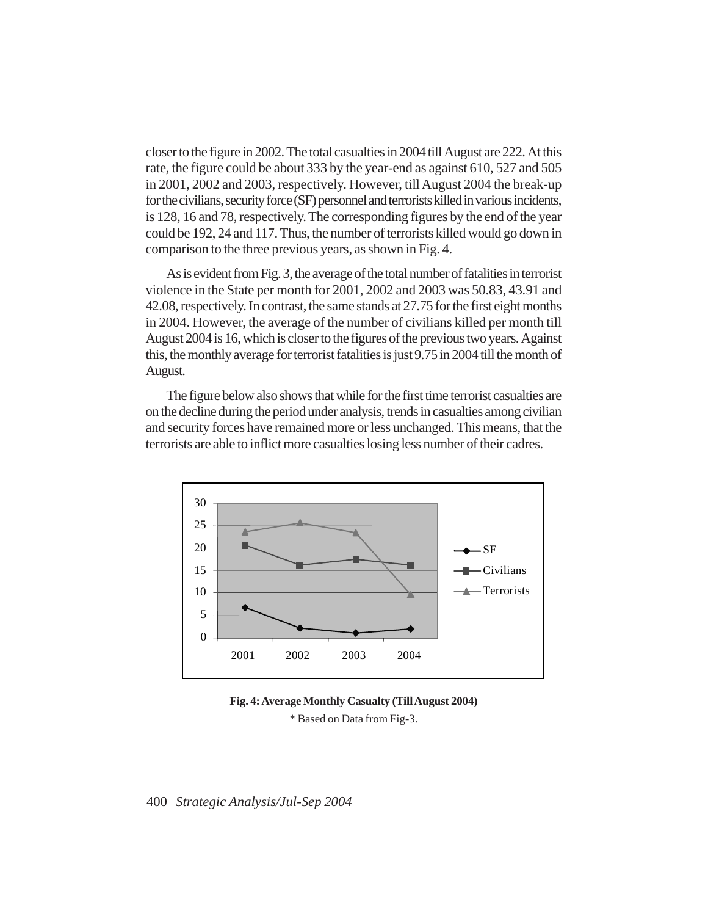closer to the figure in 2002. The total casualties in 2004 till August are 222. At this rate, the figure could be about 333 by the year-end as against 610, 527 and 505 in 2001, 2002 and 2003, respectively. However, till August 2004 the break-up for the civilians, security force (SF) personnel and terrorists killed in various incidents, is 128, 16 and 78, respectively. The corresponding figures by the end of the year could be 192, 24 and 117. Thus, the number of terrorists killed would go down in comparison to the three previous years, as shown in Fig. 4.

As is evident from Fig. 3, the average of the total number of fatalities in terrorist violence in the State per month for 2001, 2002 and 2003 was 50.83, 43.91 and 42.08, respectively. In contrast, the same stands at 27.75 for the first eight months in 2004. However, the average of the number of civilians killed per month till August 2004 is 16, which is closer to the figures of the previous two years. Against this, the monthly average for terrorist fatalities is just 9.75 in 2004 till the month of August.

The figure below also shows that while for the first time terrorist casualties are on the decline during the period under analysis, trends in casualties among civilian and security forces have remained more or less unchanged. This means, that the terrorists are able to inflict more casualties losing less number of their cadres.



**Fig. 4: Average Monthly Casualty (Till August 2004)** \* Based on Data from Fig-3.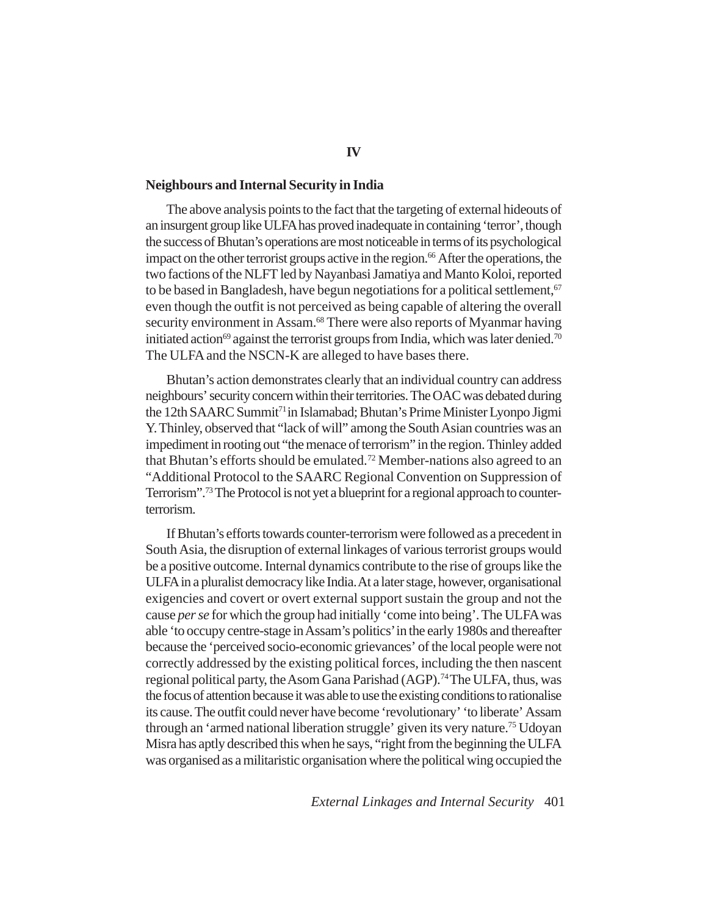## **Neighbours and Internal Security in India**

The above analysis points to the fact that the targeting of external hideouts of an insurgent group like ULFA has proved inadequate in containing 'terror', though the success of Bhutan's operations are most noticeable in terms of its psychological impact on the other terrorist groups active in the region.<sup>66</sup> After the operations, the two factions of the NLFT led by Nayanbasi Jamatiya and Manto Koloi, reported to be based in Bangladesh, have begun negotiations for a political settlement,  $67$ even though the outfit is not perceived as being capable of altering the overall security environment in Assam.<sup>68</sup> There were also reports of Myanmar having initiated action<sup>69</sup> against the terrorist groups from India, which was later denied.<sup>70</sup> The ULFA and the NSCN-K are alleged to have bases there.

Bhutan's action demonstrates clearly that an individual country can address neighbours' security concern within their territories. The OAC was debated during the 12th SAARC Summit71 in Islamabad; Bhutan's Prime Minister Lyonpo Jigmi Y. Thinley, observed that "lack of will" among the South Asian countries was an impediment in rooting out "the menace of terrorism" in the region. Thinley added that Bhutan's efforts should be emulated.<sup>72</sup> Member-nations also agreed to an "Additional Protocol to the SAARC Regional Convention on Suppression of Terrorism".73 The Protocol is not yet a blueprint for a regional approach to counterterrorism.

If Bhutan's efforts towards counter-terrorism were followed as a precedent in South Asia, the disruption of external linkages of various terrorist groups would be a positive outcome. Internal dynamics contribute to the rise of groups like the ULFA in a pluralist democracy like India. At a later stage, however, organisational exigencies and covert or overt external support sustain the group and not the cause *per se* for which the group had initially 'come into being'. The ULFA was able 'to occupy centre-stage in Assam's politics' in the early 1980s and thereafter because the 'perceived socio-economic grievances' of the local people were not correctly addressed by the existing political forces, including the then nascent regional political party, the Asom Gana Parishad (AGP).<sup>74</sup> The ULFA, thus, was the focus of attention because it was able to use the existing conditions to rationalise its cause. The outfit could never have become 'revolutionary' 'to liberate' Assam through an 'armed national liberation struggle' given its very nature.75 Udoyan Misra has aptly described this when he says, "right from the beginning the ULFA was organised as a militaristic organisation where the political wing occupied the

*External Linkages and Internal Security* 401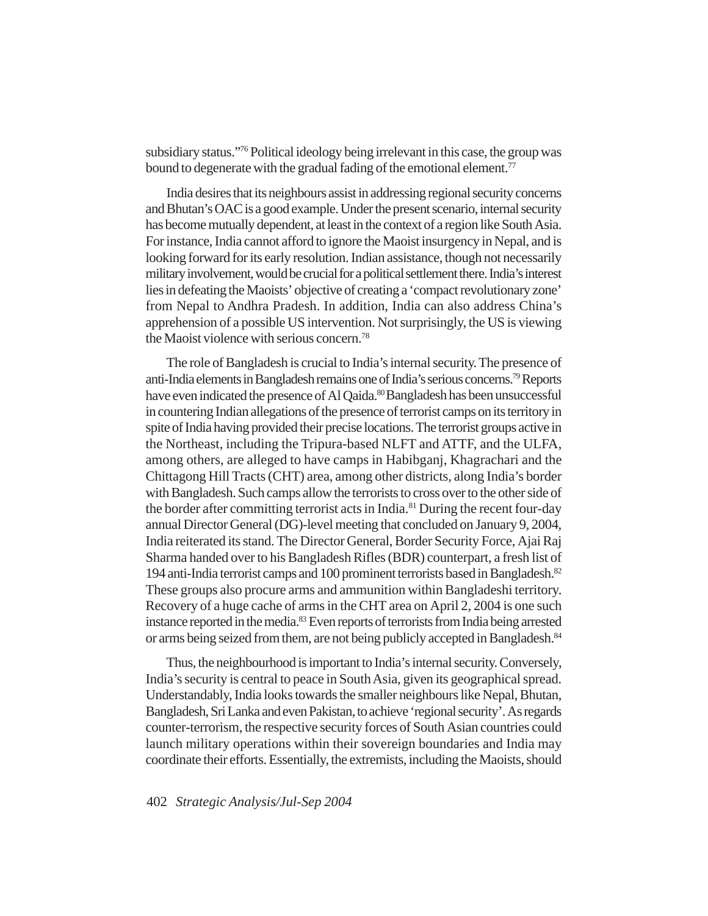subsidiary status."76 Political ideology being irrelevant in this case, the group was bound to degenerate with the gradual fading of the emotional element.<sup>77</sup>

India desires that its neighbours assist in addressing regional security concerns and Bhutan's OAC is a good example. Under the present scenario, internal security has become mutually dependent, at least in the context of a region like South Asia. For instance, India cannot afford to ignore the Maoist insurgency in Nepal, and is looking forward for its early resolution. Indian assistance, though not necessarily military involvement, would be crucial for a political settlement there. India's interest lies in defeating the Maoists' objective of creating a 'compact revolutionary zone' from Nepal to Andhra Pradesh. In addition, India can also address China's apprehension of a possible US intervention. Not surprisingly, the US is viewing the Maoist violence with serious concern.78

The role of Bangladesh is crucial to India's internal security. The presence of anti-India elements in Bangladesh remains one of India's serious concerns.79 Reports have even indicated the presence of Al Qaida.<sup>80</sup> Bangladesh has been unsuccessful in countering Indian allegations of the presence of terrorist camps on its territory in spite of India having provided their precise locations. The terrorist groups active in the Northeast, including the Tripura-based NLFT and ATTF, and the ULFA, among others, are alleged to have camps in Habibganj, Khagrachari and the Chittagong Hill Tracts (CHT) area, among other districts, along India's border with Bangladesh. Such camps allow the terrorists to cross over to the other side of the border after committing terrorist acts in India.<sup>81</sup> During the recent four-day annual Director General (DG)-level meeting that concluded on January 9, 2004, India reiterated its stand. The Director General, Border Security Force, Ajai Raj Sharma handed over to his Bangladesh Rifles (BDR) counterpart, a fresh list of 194 anti-India terrorist camps and 100 prominent terrorists based in Bangladesh.82 These groups also procure arms and ammunition within Bangladeshi territory. Recovery of a huge cache of arms in the CHT area on April 2, 2004 is one such instance reported in the media.83 Even reports of terrorists from India being arrested or arms being seized from them, are not being publicly accepted in Bangladesh.<sup>84</sup>

Thus, the neighbourhood is important to India's internal security. Conversely, India's security is central to peace in South Asia, given its geographical spread. Understandably, India looks towards the smaller neighbours like Nepal, Bhutan, Bangladesh, Sri Lanka and even Pakistan, to achieve 'regional security'. As regards counter-terrorism, the respective security forces of South Asian countries could launch military operations within their sovereign boundaries and India may coordinate their efforts. Essentially, the extremists, including the Maoists, should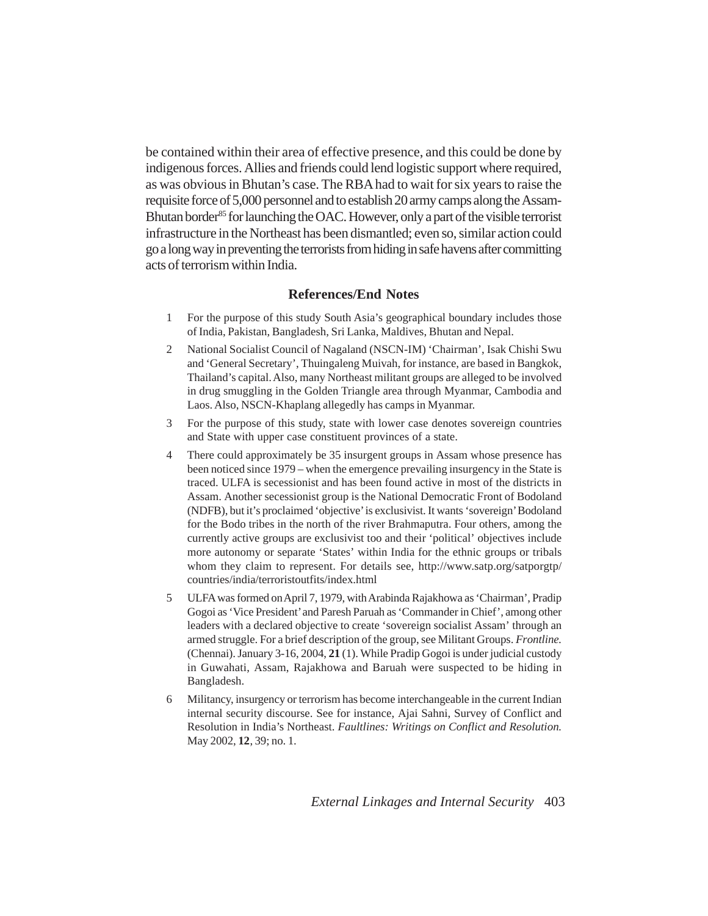be contained within their area of effective presence, and this could be done by indigenous forces. Allies and friends could lend logistic support where required, as was obvious in Bhutan's case. The RBA had to wait for six years to raise the requisite force of 5,000 personnel and to establish 20 army camps along the Assam-Bhutan border<sup>85</sup> for launching the OAC. However, only a part of the visible terrorist infrastructure in the Northeast has been dismantled; even so, similar action could go a long way in preventing the terrorists from hiding in safe havens after committing acts of terrorism within India.

# **References/End Notes**

- 1 For the purpose of this study South Asia's geographical boundary includes those of India, Pakistan, Bangladesh, Sri Lanka, Maldives, Bhutan and Nepal.
- 2 National Socialist Council of Nagaland (NSCN-IM) 'Chairman', Isak Chishi Swu and 'General Secretary', Thuingaleng Muivah, for instance, are based in Bangkok, Thailand's capital. Also, many Northeast militant groups are alleged to be involved in drug smuggling in the Golden Triangle area through Myanmar, Cambodia and Laos. Also, NSCN-Khaplang allegedly has camps in Myanmar.
- 3 For the purpose of this study, state with lower case denotes sovereign countries and State with upper case constituent provinces of a state.
- 4 There could approximately be 35 insurgent groups in Assam whose presence has been noticed since 1979 – when the emergence prevailing insurgency in the State is traced. ULFA is secessionist and has been found active in most of the districts in Assam. Another secessionist group is the National Democratic Front of Bodoland (NDFB), but it's proclaimed 'objective' is exclusivist. It wants 'sovereign' Bodoland for the Bodo tribes in the north of the river Brahmaputra. Four others, among the currently active groups are exclusivist too and their 'political' objectives include more autonomy or separate 'States' within India for the ethnic groups or tribals whom they claim to represent. For details see, http://www.satp.org/satporgtp/ countries/india/terroristoutfits/index.html
- 5 ULFA was formed on April 7, 1979, with Arabinda Rajakhowa as 'Chairman', Pradip Gogoi as 'Vice President' and Paresh Paruah as 'Commander in Chief', among other leaders with a declared objective to create 'sovereign socialist Assam' through an armed struggle. For a brief description of the group, see Militant Groups. *Frontline.* (Chennai). January 3-16, 2004, **21** (1). While Pradip Gogoi is under judicial custody in Guwahati, Assam, Rajakhowa and Baruah were suspected to be hiding in Bangladesh.
- 6 Militancy, insurgency or terrorism has become interchangeable in the current Indian internal security discourse. See for instance, Ajai Sahni, Survey of Conflict and Resolution in India's Northeast. *Faultlines: Writings on Conflict and Resolution.* May 2002, **12**, 39; no. 1.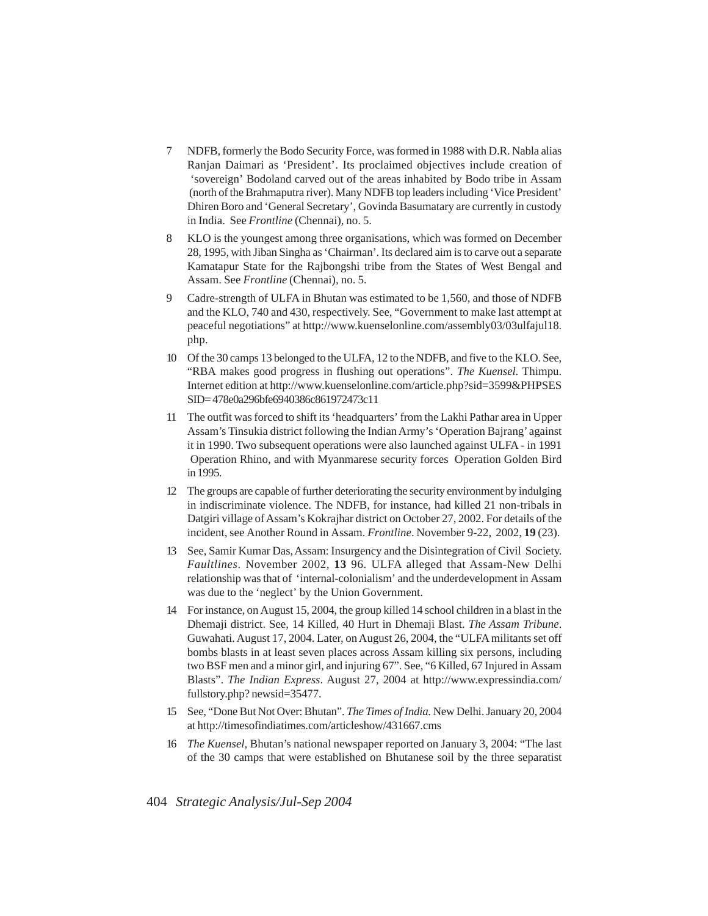- 7 NDFB, formerly the Bodo Security Force, was formed in 1988 with D.R. Nabla alias Ranjan Daimari as 'President'. Its proclaimed objectives include creation of 'sovereign' Bodoland carved out of the areas inhabited by Bodo tribe in Assam (north of the Brahmaputra river). Many NDFB top leaders including 'Vice President' Dhiren Boro and 'General Secretary', Govinda Basumatary are currently in custody in India. See *Frontline* (Chennai), no. 5.
- 8 KLO is the youngest among three organisations, which was formed on December 28, 1995, with Jiban Singha as 'Chairman'. Its declared aim is to carve out a separate Kamatapur State for the Rajbongshi tribe from the States of West Bengal and Assam. See *Frontline* (Chennai), no. 5.
- 9 Cadre-strength of ULFA in Bhutan was estimated to be 1,560, and those of NDFB and the KLO, 740 and 430, respectively. See, "Government to make last attempt at peaceful negotiations" at http://www.kuenselonline.com/assembly03/03ulfajul18. php.
- 10 Of the 30 camps 13 belonged to the ULFA, 12 to the NDFB, and five to the KLO. See, "RBA makes good progress in flushing out operations". *The Kuensel*. Thimpu. Internet edition at http://www.kuenselonline.com/article.php?sid=3599&PHPSES SID= 478e0a296bfe6940386c861972473c11
- 11 The outfit was forced to shift its 'headquarters' from the Lakhi Pathar area in Upper Assam's Tinsukia district following the Indian Army's 'Operation Bajrang' against it in 1990. Two subsequent operations were also launched against ULFA - in 1991 Operation Rhino, and with Myanmarese security forces Operation Golden Bird in 1995.
- 12 The groups are capable of further deteriorating the security environment by indulging in indiscriminate violence. The NDFB, for instance, had killed 21 non-tribals in Datgiri village of Assam's Kokrajhar district on October 27, 2002. For details of the incident, see Another Round in Assam. *Frontline*. November 9-22, 2002, **19** (23).
- 13 See, Samir Kumar Das, Assam: Insurgency and the Disintegration of Civil Society. *Faultlines*. November 2002, **13** 96. ULFA alleged that Assam-New Delhi relationship was that of 'internal-colonialism' and the underdevelopment in Assam was due to the 'neglect' by the Union Government.
- 14 For instance, on August 15, 2004, the group killed 14 school children in a blast in the Dhemaji district. See, 14 Killed, 40 Hurt in Dhemaji Blast. *The Assam Tribune*. Guwahati. August 17, 2004. Later, on August 26, 2004, the "ULFA militants set off bombs blasts in at least seven places across Assam killing six persons, including two BSF men and a minor girl, and injuring 67". See, "6 Killed, 67 Injured in Assam Blasts". *The Indian Express*. August 27, 2004 at http://www.expressindia.com/ fullstory.php? newsid=35477.
- 15 See, "Done But Not Over: Bhutan". *The Times of India.* New Delhi. January 20, 2004 at http://timesofindiatimes.com/articleshow/431667.cms
- 16 *The Kuensel,* Bhutan's national newspaper reported on January 3, 2004: "The last of the 30 camps that were established on Bhutanese soil by the three separatist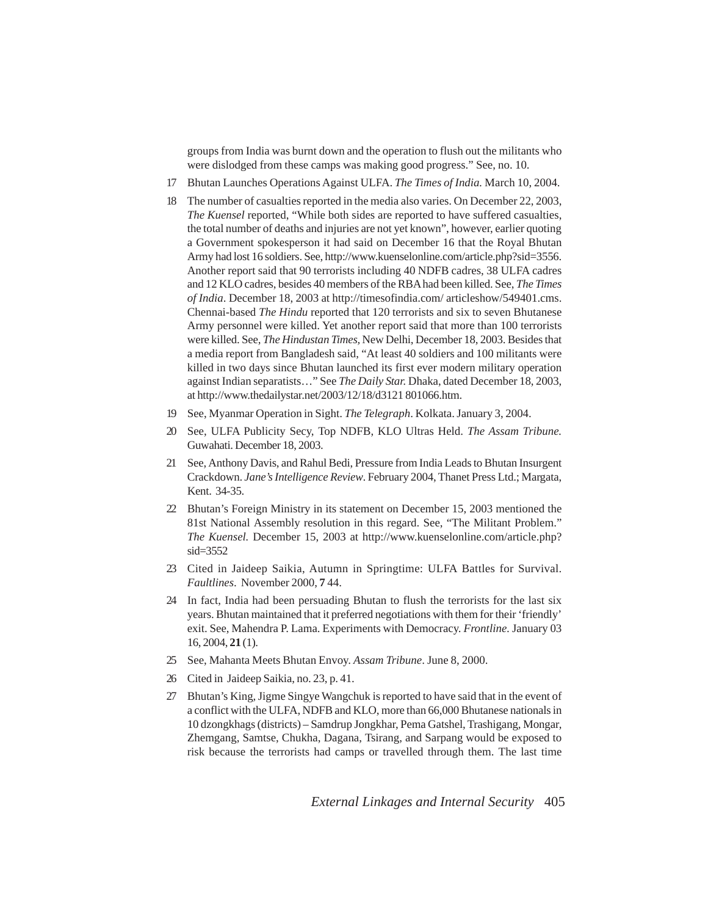groups from India was burnt down and the operation to flush out the militants who were dislodged from these camps was making good progress." See, no. 10.

- 17 Bhutan Launches Operations Against ULFA. *The Times of India.* March 10, 2004.
- 18 The number of casualties reported in the media also varies. On December 22, 2003, *The Kuensel* reported, "While both sides are reported to have suffered casualties, the total number of deaths and injuries are not yet known", however, earlier quoting a Government spokesperson it had said on December 16 that the Royal Bhutan Army had lost 16 soldiers. See, http://www.kuenselonline.com/article.php?sid=3556. Another report said that 90 terrorists including 40 NDFB cadres, 38 ULFA cadres and 12 KLO cadres, besides 40 members of the RBA had been killed. See, *The Times of India*. December 18, 2003 at http://timesofindia.com/ articleshow/549401.cms. Chennai-based *The Hindu* reported that 120 terrorists and six to seven Bhutanese Army personnel were killed. Yet another report said that more than 100 terrorists were killed. See, *The Hindustan Times,* New Delhi, December 18, 2003. Besides that a media report from Bangladesh said, "At least 40 soldiers and 100 militants were killed in two days since Bhutan launched its first ever modern military operation against Indian separatists…" See *The Daily Star.* Dhaka, dated December 18, 2003, at http://www.thedailystar.net/2003/12/18/d3121 801066.htm.
- 19 See, Myanmar Operation in Sight. *The Telegraph*. Kolkata. January 3, 2004.
- 20 See, ULFA Publicity Secy, Top NDFB, KLO Ultras Held. *The Assam Tribune.* Guwahati. December 18, 2003.
- 21 See, Anthony Davis, and Rahul Bedi, Pressure from India Leads to Bhutan Insurgent Crackdown. *Jane's Intelligence Review*. February 2004, Thanet Press Ltd.; Margata, Kent. 34-35.
- 22 Bhutan's Foreign Ministry in its statement on December 15, 2003 mentioned the 81st National Assembly resolution in this regard. See, "The Militant Problem." *The Kuensel.* December 15, 2003 at http://www.kuenselonline.com/article.php? sid=3552
- 23 Cited in Jaideep Saikia, Autumn in Springtime: ULFA Battles for Survival. *Faultlines*. November 2000, **7** 44.
- 24 In fact, India had been persuading Bhutan to flush the terrorists for the last six years. Bhutan maintained that it preferred negotiations with them for their 'friendly' exit. See, Mahendra P. Lama. Experiments with Democracy. *Frontline.* January 03 16, 2004, **21** (1).
- 25 See, Mahanta Meets Bhutan Envoy. *Assam Tribune*. June 8, 2000.
- 26 Cited in Jaideep Saikia, no. 23, p. 41.
- 27 Bhutan's King, Jigme Singye Wangchuk is reported to have said that in the event of a conflict with the ULFA, NDFB and KLO, more than 66,000 Bhutanese nationals in 10 dzongkhags (districts) – Samdrup Jongkhar, Pema Gatshel, Trashigang, Mongar, Zhemgang, Samtse, Chukha, Dagana, Tsirang, and Sarpang would be exposed to risk because the terrorists had camps or travelled through them. The last time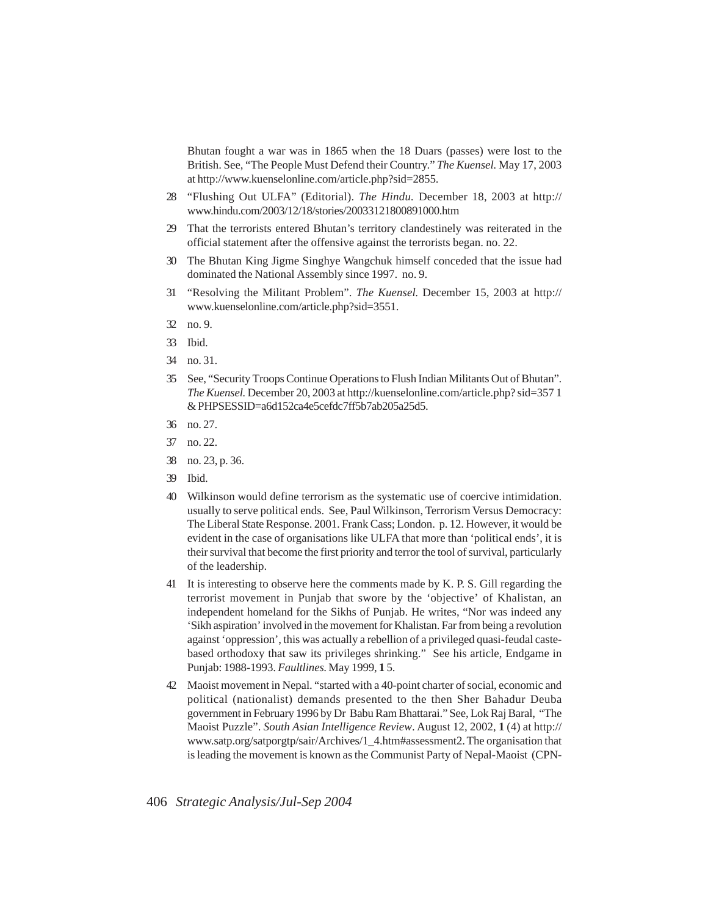Bhutan fought a war was in 1865 when the 18 Duars (passes) were lost to the British. See, "The People Must Defend their Country." *The Kuensel.* May 17, 2003 at http://www.kuenselonline.com/article.php?sid=2855.

- 28 "Flushing Out ULFA" (Editorial). *The Hindu.* December 18, 2003 at http:// www.hindu.com/2003/12/18/stories/20033121800891000.htm
- 29 That the terrorists entered Bhutan's territory clandestinely was reiterated in the official statement after the offensive against the terrorists began. no. 22.
- 30 The Bhutan King Jigme Singhye Wangchuk himself conceded that the issue had dominated the National Assembly since 1997. no. 9.
- 31 "Resolving the Militant Problem". *The Kuensel*. December 15, 2003 at http:// www.kuenselonline.com/article.php?sid=3551.
- 32 no. 9.
- 33 Ibid.
- 34 no. 31.
- 35 See, "Security Troops Continue Operations to Flush Indian Militants Out of Bhutan". *The Kuensel.* December 20, 2003 at http://kuenselonline.com/article.php? sid=357 1 & PHPSESSID=a6d152ca4e5cefdc7ff5b7ab205a25d5.
- 36 no. 27.
- 37 no. 22.
- 38 no. 23, p. 36.
- 39 Ibid.
- 40 Wilkinson would define terrorism as the systematic use of coercive intimidation. usually to serve political ends. See, Paul Wilkinson, Terrorism Versus Democracy: The Liberal State Response. 2001. Frank Cass; London. p. 12. However, it would be evident in the case of organisations like ULFA that more than 'political ends', it is their survival that become the first priority and terror the tool of survival, particularly of the leadership.
- 41 It is interesting to observe here the comments made by K. P. S. Gill regarding the terrorist movement in Punjab that swore by the 'objective' of Khalistan, an independent homeland for the Sikhs of Punjab. He writes, "Nor was indeed any 'Sikh aspiration' involved in the movement for Khalistan. Far from being a revolution against 'oppression', this was actually a rebellion of a privileged quasi-feudal castebased orthodoxy that saw its privileges shrinking." See his article, Endgame in Punjab: 1988-1993. *Faultlines*. May 1999, **1** 5.
- 42 Maoist movement in Nepal. "started with a 40-point charter of social, economic and political (nationalist) demands presented to the then Sher Bahadur Deuba government in February 1996 by Dr Babu Ram Bhattarai." See, Lok Raj Baral, "The Maoist Puzzle". *South Asian Intelligence Review*. August 12, 2002, **1** (4) at http:// www.satp.org/satporgtp/sair/Archives/1\_4.htm#assessment2. The organisation that is leading the movement is known as the Communist Party of Nepal-Maoist (CPN-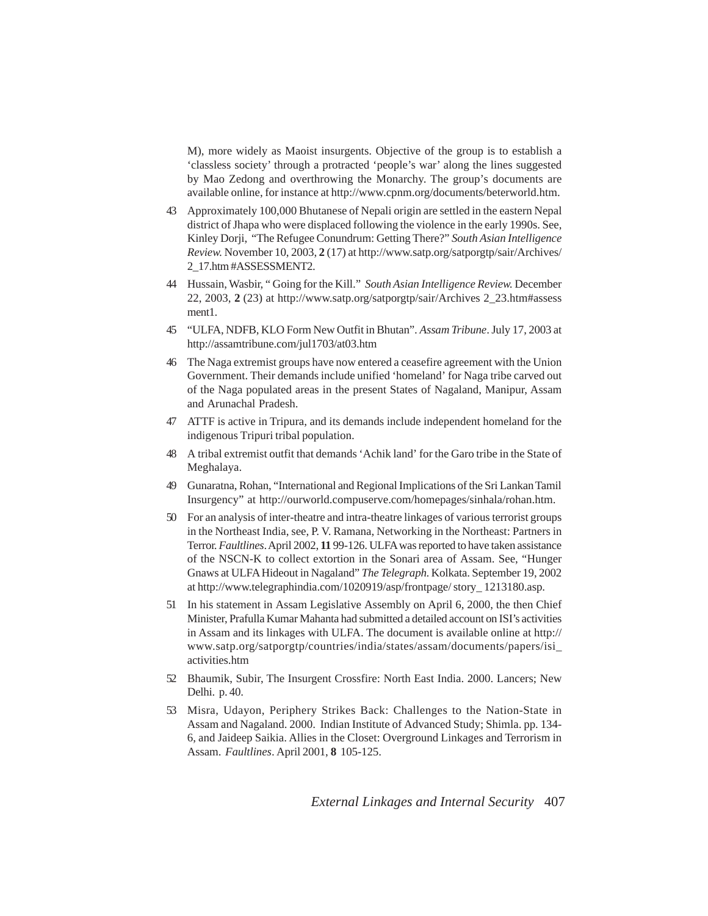M), more widely as Maoist insurgents. Objective of the group is to establish a 'classless society' through a protracted 'people's war' along the lines suggested by Mao Zedong and overthrowing the Monarchy. The group's documents are available online, for instance at http://www.cpnm.org/documents/beterworld.htm.

- 43 Approximately 100,000 Bhutanese of Nepali origin are settled in the eastern Nepal district of Jhapa who were displaced following the violence in the early 1990s. See, Kinley Dorji, "The Refugee Conundrum: Getting There?" *South Asian Intelligence Review.* November 10, 2003, **2** (17) at http://www.satp.org/satporgtp/sair/Archives/ 2\_17.htm #ASSESSMENT2.
- 44 Hussain, Wasbir, " Going for the Kill." *South Asian Intelligence Review.* December 22, 2003, **2** (23) at http://www.satp.org/satporgtp/sair/Archives 2\_23.htm#assess ment1.
- 45 "ULFA, NDFB, KLO Form New Outfit in Bhutan". *Assam Tribune*. July 17, 2003 at http://assamtribune.com/jul1703/at03.htm
- 46 The Naga extremist groups have now entered a ceasefire agreement with the Union Government. Their demands include unified 'homeland' for Naga tribe carved out of the Naga populated areas in the present States of Nagaland, Manipur, Assam and Arunachal Pradesh.
- 47 ATTF is active in Tripura, and its demands include independent homeland for the indigenous Tripuri tribal population.
- 48 A tribal extremist outfit that demands 'Achik land' for the Garo tribe in the State of Meghalaya.
- 49 Gunaratna, Rohan, "International and Regional Implications of the Sri Lankan Tamil Insurgency" at http://ourworld.compuserve.com/homepages/sinhala/rohan.htm.
- 50 For an analysis of inter-theatre and intra-theatre linkages of various terrorist groups in the Northeast India, see, P. V. Ramana, Networking in the Northeast: Partners in Terror. *Faultlines*. April 2002, **11** 99-126. ULFA was reported to have taken assistance of the NSCN-K to collect extortion in the Sonari area of Assam. See, "Hunger Gnaws at ULFA Hideout in Nagaland" *The Telegraph*. Kolkata. September 19, 2002 at http://www.telegraphindia.com/1020919/asp/frontpage/ story\_ 1213180.asp.
- 51 In his statement in Assam Legislative Assembly on April 6, 2000, the then Chief Minister, Prafulla Kumar Mahanta had submitted a detailed account on ISI's activities in Assam and its linkages with ULFA. The document is available online at http:// www.satp.org/satporgtp/countries/india/states/assam/documents/papers/isi\_ activities.htm
- 52 Bhaumik, Subir, The Insurgent Crossfire: North East India. 2000. Lancers; New Delhi. p. 40.
- 53 Misra, Udayon, Periphery Strikes Back: Challenges to the Nation-State in Assam and Nagaland. 2000. Indian Institute of Advanced Study; Shimla. pp. 134- 6, and Jaideep Saikia. Allies in the Closet: Overground Linkages and Terrorism in Assam. *Faultlines*. April 2001, **8** 105-125.

*External Linkages and Internal Security* 407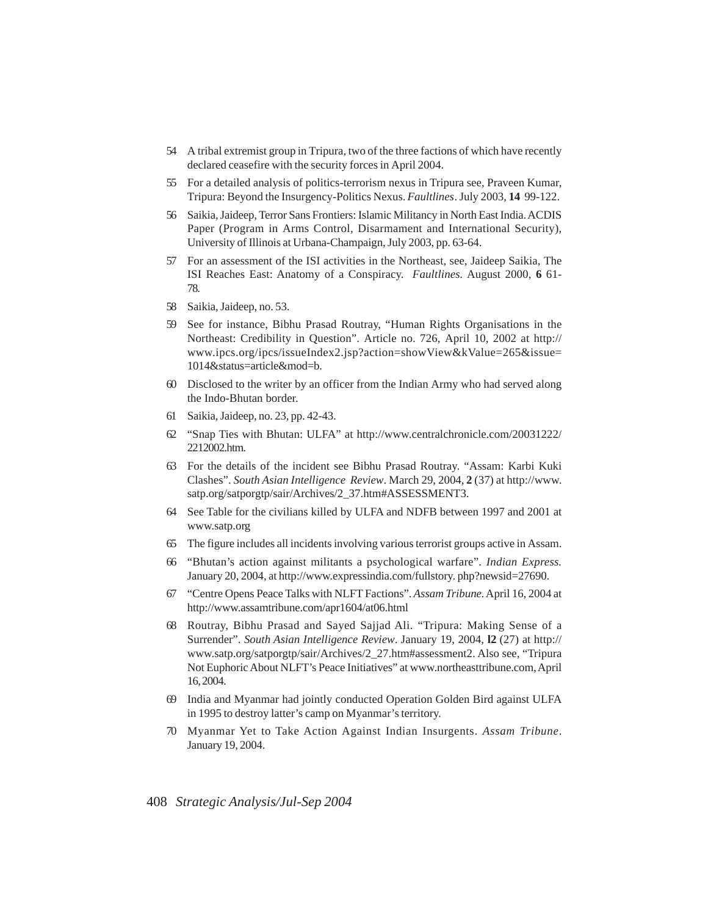- 54 A tribal extremist group in Tripura, two of the three factions of which have recently declared ceasefire with the security forces in April 2004.
- 55 For a detailed analysis of politics-terrorism nexus in Tripura see, Praveen Kumar, Tripura: Beyond the Insurgency-Politics Nexus. *Faultlines*. July 2003, **14** 99-122.
- 56 Saikia, Jaideep, Terror Sans Frontiers: Islamic Militancy in North East India. ACDIS Paper (Program in Arms Control, Disarmament and International Security), University of Illinois at Urbana-Champaign, July 2003, pp. 63-64.
- 57 For an assessment of the ISI activities in the Northeast, see, Jaideep Saikia, The ISI Reaches East: Anatomy of a Conspiracy. *Faultlines.* August 2000, **6** 61- 78.
- 58 Saikia, Jaideep, no. 53.
- 59 See for instance, Bibhu Prasad Routray, "Human Rights Organisations in the Northeast: Credibility in Question". Article no. 726, April 10, 2002 at http:// www.ipcs.org/ipcs/issueIndex2.jsp?action=showView&kValue=265&issue= 1014&status=article&mod=b.
- 60 Disclosed to the writer by an officer from the Indian Army who had served along the Indo-Bhutan border.
- 61 Saikia, Jaideep, no. 23, pp. 42-43.
- 62 "Snap Ties with Bhutan: ULFA" at http://www.centralchronicle.com/20031222/ 2212002.htm.
- 63 For the details of the incident see Bibhu Prasad Routray. "Assam: Karbi Kuki Clashes". *South Asian Intelligence Review*. March 29, 2004, **2** (37) at http://www. satp.org/satporgtp/sair/Archives/2\_37.htm#ASSESSMENT3.
- 64 See Table for the civilians killed by ULFA and NDFB between 1997 and 2001 at www.satp.org
- 65 The figure includes all incidents involving various terrorist groups active in Assam.
- 66 "Bhutan's action against militants a psychological warfare". *Indian Express.* January 20, 2004, at http://www.expressindia.com/fullstory. php?newsid=27690.
- 67 "Centre Opens Peace Talks with NLFT Factions". *Assam Tribune*. April 16, 2004 at http://www.assamtribune.com/apr1604/at06.html
- 68 Routray, Bibhu Prasad and Sayed Sajjad Ali. "Tripura: Making Sense of a Surrender". *South Asian Intelligence Review*. January 19, 2004, **l2** (27) at http:// www.satp.org/satporgtp/sair/Archives/2\_27.htm#assessment2. Also see, "Tripura Not Euphoric About NLFT's Peace Initiatives" at www.northeasttribune.com, April 16, 2004.
- 69 India and Myanmar had jointly conducted Operation Golden Bird against ULFA in 1995 to destroy latter's camp on Myanmar's territory.
- 70 Myanmar Yet to Take Action Against Indian Insurgents. *Assam Tribune*. January 19, 2004.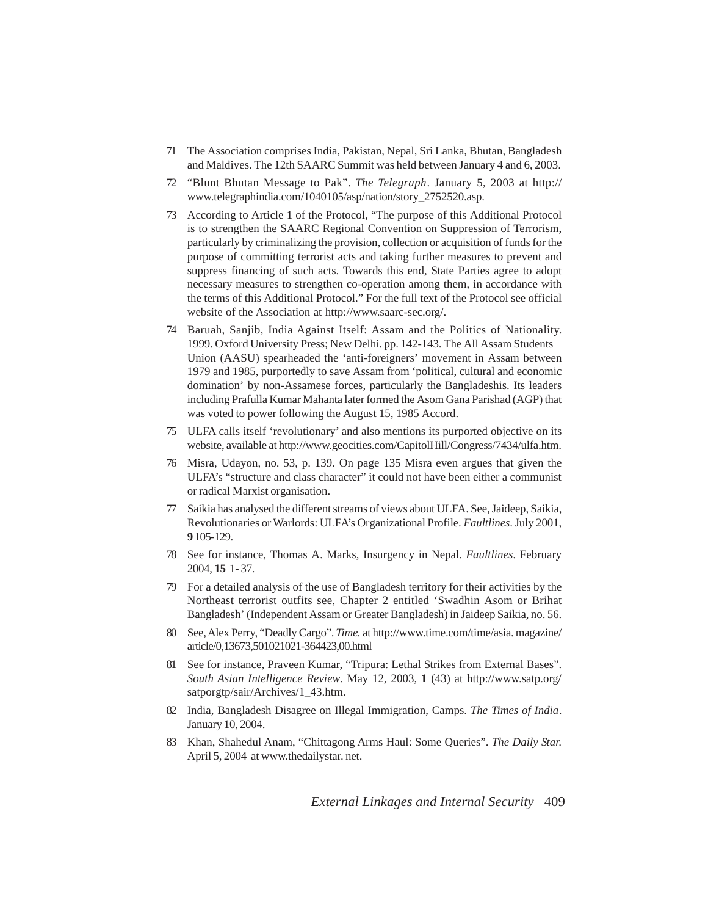- 71 The Association comprises India, Pakistan, Nepal, Sri Lanka, Bhutan, Bangladesh and Maldives. The 12th SAARC Summit was held between January 4 and 6, 2003.
- 72 "Blunt Bhutan Message to Pak". *The Telegraph*. January 5, 2003 at http:// www.telegraphindia.com/1040105/asp/nation/story\_2752520.asp.
- 73 According to Article 1 of the Protocol, "The purpose of this Additional Protocol is to strengthen the SAARC Regional Convention on Suppression of Terrorism, particularly by criminalizing the provision, collection or acquisition of funds for the purpose of committing terrorist acts and taking further measures to prevent and suppress financing of such acts. Towards this end, State Parties agree to adopt necessary measures to strengthen co-operation among them, in accordance with the terms of this Additional Protocol." For the full text of the Protocol see official website of the Association at http://www.saarc-sec.org/.
- 74 Baruah, Sanjib, India Against Itself: Assam and the Politics of Nationality. 1999. Oxford University Press; New Delhi. pp. 142-143. The All Assam Students Union (AASU) spearheaded the 'anti-foreigners' movement in Assam between 1979 and 1985, purportedly to save Assam from 'political, cultural and economic domination' by non-Assamese forces, particularly the Bangladeshis. Its leaders including Prafulla Kumar Mahanta later formed the Asom Gana Parishad (AGP) that was voted to power following the August 15, 1985 Accord.
- 75 ULFA calls itself 'revolutionary' and also mentions its purported objective on its website, available at http://www.geocities.com/CapitolHill/Congress/7434/ulfa.htm.
- 76 Misra, Udayon, no. 53, p. 139. On page 135 Misra even argues that given the ULFA's "structure and class character" it could not have been either a communist or radical Marxist organisation.
- 77 Saikia has analysed the different streams of views about ULFA. See, Jaideep, Saikia, Revolutionaries or Warlords: ULFA's Organizational Profile. *Faultlines*. July 2001, **9** 105-129.
- 78 See for instance, Thomas A. Marks, Insurgency in Nepal. *Faultlines*. February 2004, **15** 1- 37.
- 79 For a detailed analysis of the use of Bangladesh territory for their activities by the Northeast terrorist outfits see, Chapter 2 entitled 'Swadhin Asom or Brihat Bangladesh' (Independent Assam or Greater Bangladesh) in Jaideep Saikia, no. 56.
- 80 See, Alex Perry, "Deadly Cargo". *Time.* at http://www.time.com/time/asia. magazine/ article/0,13673,501021021-364423,00.html
- 81 See for instance, Praveen Kumar, "Tripura: Lethal Strikes from External Bases". *South Asian Intelligence Review*. May 12, 2003, **1** (43) at http://www.satp.org/ satporgtp/sair/Archives/1\_43.htm.
- 82 India, Bangladesh Disagree on Illegal Immigration, Camps. *The Times of India*. January 10, 2004.
- 83 Khan, Shahedul Anam, "Chittagong Arms Haul: Some Queries". *The Daily Star.* April 5, 2004 at www.thedailystar. net.

*External Linkages and Internal Security* 409